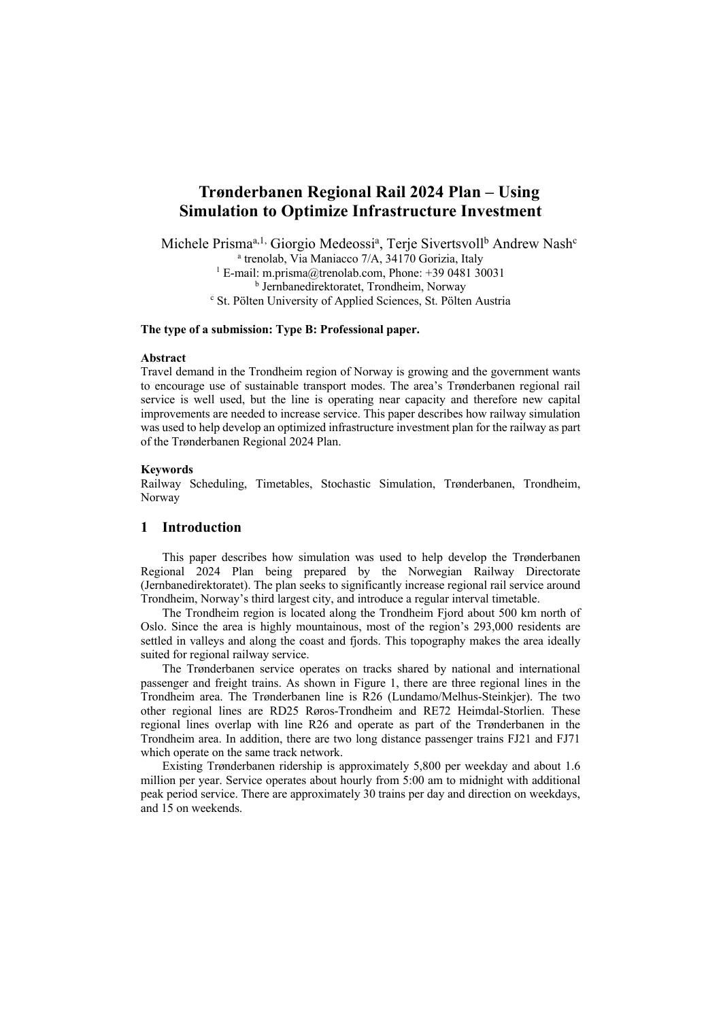# **Trønderbanen Regional Rail 2024 Plan – Using Simulation to Optimize Infrastructure Investment**

Michele Prisma<sup>a, 1,</sup> Giorgio Medeossi<sup>a</sup>, Terje Sivertsvoll<sup>b</sup> Andrew Nash<sup>c</sup>  $^{\circ}$  trenolab, Via Maniacco 7/A, 34170 Gorizia, Italy <sup>1</sup> E-mail: m.prisma@trenolab.com, Phone: +39 0481 30031 **b** Jernbanedirektoratet, Trondheim, Norway <sup>c</sup> St. Pölten University of Applied Sciences, St. Pölten Austria

## **The type of a submission: Type B: Professional paper.**

#### **Abstract**

Travel demand in the Trondheim region of Norway is growing and the government wants to encourage use of sustainable transport modes. The area's Trønderbanen regional rail service is well used, but the line is operating near capacity and therefore new capital improvements are needed to increase service. This paper describes how railway simulation was used to help develop an optimized infrastructure investment plan for the railway as part of the Trønderbanen Regional 2024 Plan.

#### **Keywords**

Railway Scheduling, Timetables, Stochastic Simulation, Trønderbanen, Trondheim, Norway

# **1 Introduction**

This paper describes how simulation was used to help develop the Trønderbanen Regional 2024 Plan being prepared by the Norwegian Railway Directorate (Jernbanedirektoratet). The plan seeks to significantly increase regional rail service around Trondheim, Norway's third largest city, and introduce a regular interval timetable.

The Trondheim region is located along the Trondheim Fjord about 500 km north of Oslo. Since the area is highly mountainous, most of the region's 293,000 residents are settled in valleys and along the coast and fjords. This topography makes the area ideally suited for regional railway service.

The Trønderbanen service operates on tracks shared by national and international passenger and freight trains. As shown in Figure 1, there are three regional lines in the Trondheim area. The Trønderbanen line is R26 (Lundamo/Melhus-Steinkjer). The two other regional lines are RD25 Røros-Trondheim and RE72 Heimdal-Storlien. These regional lines overlap with line R26 and operate as part of the Trønderbanen in the Trondheim area. In addition, there are two long distance passenger trains FJ21 and FJ71 which operate on the same track network.

Existing Trønderbanen ridership is approximately 5,800 per weekday and about 1.6 million per year. Service operates about hourly from 5:00 am to midnight with additional peak period service. There are approximately 30 trains per day and direction on weekdays, and 15 on weekends.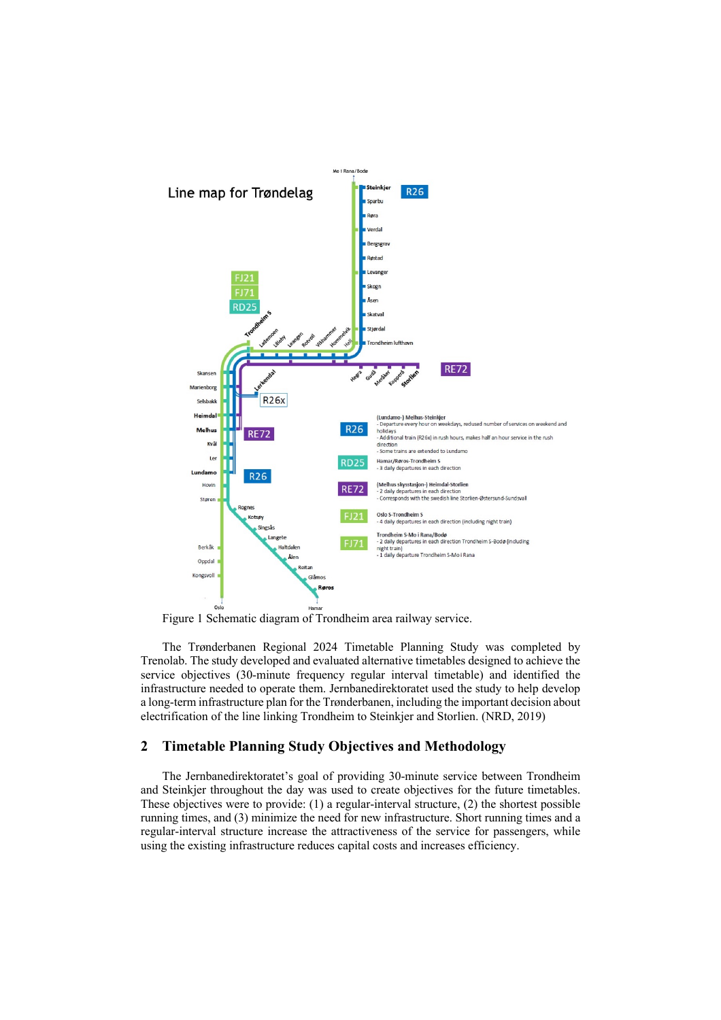

Figure 1 Schematic diagram of Trondheim area railway service.

The Trønderbanen Regional 2024 Timetable Planning Study was completed by Trenolab. The study developed and evaluated alternative timetables designed to achieve the service objectives (30-minute frequency regular interval timetable) and identified the infrastructure needed to operate them. Jernbanedirektoratet used the study to help develop a long-term infrastructure plan for the Trønderbanen, including the important decision about electrification of the line linking Trondheim to Steinkjer and Storlien. (NRD, 2019)

## **2 Timetable Planning Study Objectives and Methodology**

The Jernbanedirektoratet's goal of providing 30-minute service between Trondheim and Steinkjer throughout the day was used to create objectives for the future timetables. These objectives were to provide: (1) a regular-interval structure, (2) the shortest possible running times, and (3) minimize the need for new infrastructure. Short running times and a regular-interval structure increase the attractiveness of the service for passengers, while using the existing infrastructure reduces capital costs and increases efficiency.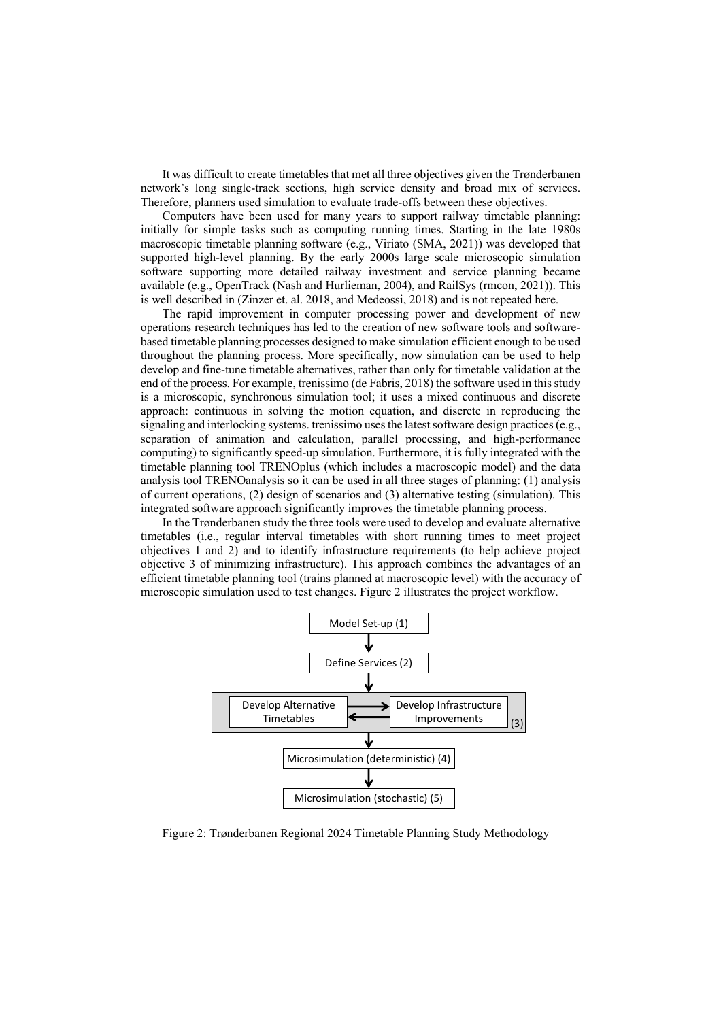It was difficult to create timetables that met all three objectives given the Trønderbanen network's long single-track sections, high service density and broad mix of services. Therefore, planners used simulation to evaluate trade-offs between these objectives.

Computers have been used for many years to support railway timetable planning: initially for simple tasks such as computing running times. Starting in the late 1980s macroscopic timetable planning software (e.g., Viriato (SMA, 2021)) was developed that supported high-level planning. By the early 2000s large scale microscopic simulation software supporting more detailed railway investment and service planning became available (e.g., OpenTrack (Nash and Hurlieman, 2004), and RailSys (rmcon, 2021)). This is well described in (Zinzer et. al. 2018, and Medeossi, 2018) and is not repeated here.

The rapid improvement in computer processing power and development of new operations research techniques has led to the creation of new software tools and softwarebased timetable planning processes designed to make simulation efficient enough to be used throughout the planning process. More specifically, now simulation can be used to help develop and fine-tune timetable alternatives, rather than only for timetable validation at the end of the process. For example, trenissimo (de Fabris, 2018) the software used in this study is a microscopic, synchronous simulation tool; it uses a mixed continuous and discrete approach: continuous in solving the motion equation, and discrete in reproducing the signaling and interlocking systems. trenissimo uses the latest software design practices (e.g., separation of animation and calculation, parallel processing, and high-performance computing) to significantly speed-up simulation. Furthermore, it is fully integrated with the timetable planning tool TRENOplus (which includes a macroscopic model) and the data analysis tool TRENOanalysis so it can be used in all three stages of planning: (1) analysis of current operations, (2) design of scenarios and (3) alternative testing (simulation). This integrated software approach significantly improves the timetable planning process.

In the Trønderbanen study the three tools were used to develop and evaluate alternative timetables (i.e., regular interval timetables with short running times to meet project objectives 1 and 2) and to identify infrastructure requirements (to help achieve project objective 3 of minimizing infrastructure). This approach combines the advantages of an efficient timetable planning tool (trains planned at macroscopic level) with the accuracy of microscopic simulation used to test changes. Figure 2 illustrates the project workflow.



Figure 2: Trønderbanen Regional 2024 Timetable Planning Study Methodology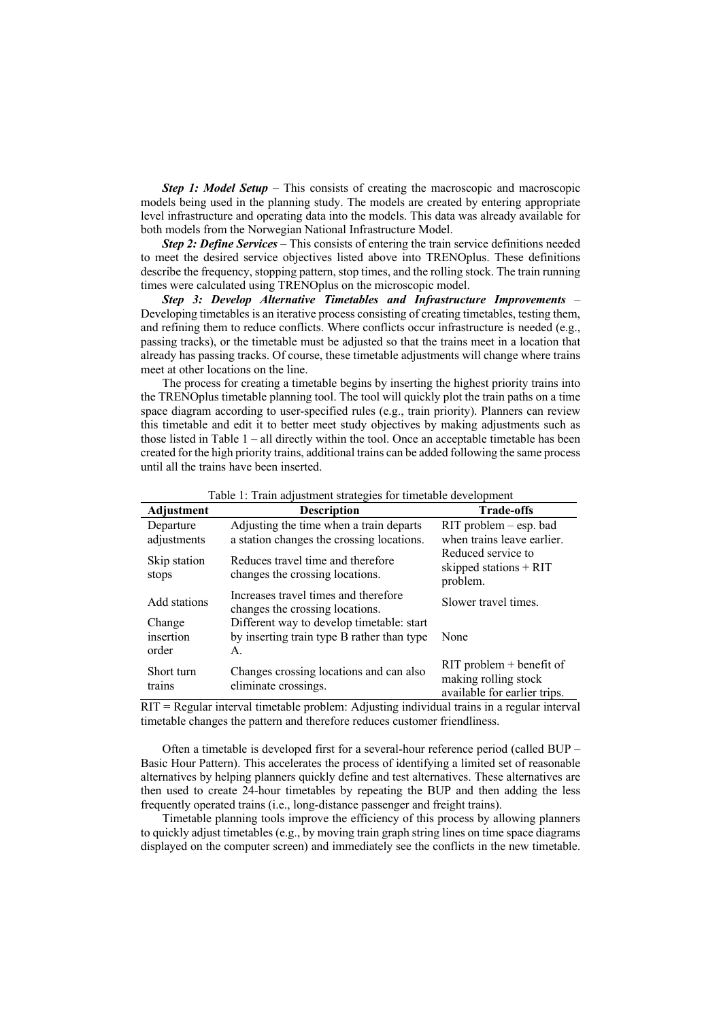**Step 1: Model Setup** – This consists of creating the macroscopic and macroscopic models being used in the planning study. The models are created by entering appropriate level infrastructure and operating data into the models. This data was already available for both models from the Norwegian National Infrastructure Model.

*Step 2: Define Services* – This consists of entering the train service definitions needed to meet the desired service objectives listed above into TRENOplus. These definitions describe the frequency, stopping pattern, stop times, and the rolling stock. The train running times were calculated using TRENOplus on the microscopic model.

*Step 3: Develop Alternative Timetables and Infrastructure Improvements* – Developing timetables is an iterative process consisting of creating timetables, testing them, and refining them to reduce conflicts. Where conflicts occur infrastructure is needed (e.g., passing tracks), or the timetable must be adjusted so that the trains meet in a location that already has passing tracks. Of course, these timetable adjustments will change where trains meet at other locations on the line.

The process for creating a timetable begins by inserting the highest priority trains into the TRENOplus timetable planning tool. The tool will quickly plot the train paths on a time space diagram according to user-specified rules (e.g., train priority). Planners can review this timetable and edit it to better meet study objectives by making adjustments such as those listed in Table  $1 -$ all directly within the tool. Once an acceptable timetable has been created for the high priority trains, additional trains can be added following the same process until all the trains have been inserted.

| <b>Adjustment</b>            | Tuble 1. Trum aufabulient buttlegteb for unividence development<br><b>Description</b>         | <b>Trade-offs</b>                                                                         |
|------------------------------|-----------------------------------------------------------------------------------------------|-------------------------------------------------------------------------------------------|
| Departure<br>adjustments     | Adjusting the time when a train departs<br>a station changes the crossing locations.          | RIT problem – esp. bad<br>when trains leave earlier.                                      |
| Skip station<br>stops        | Reduces travel time and therefore<br>changes the crossing locations.                          | Reduced service to<br>skipped stations $+$ RIT<br>problem.                                |
| Add stations                 | Increases travel times and therefore<br>changes the crossing locations.                       | Slower travel times.                                                                      |
| Change<br>insertion<br>order | Different way to develop timetable: start<br>by inserting train type B rather than type<br>Α. | None                                                                                      |
| Short turn<br>trains         | Changes crossing locations and can also<br>eliminate crossings.                               | $\text{RIT}$ problem + benefit of<br>making rolling stock<br>available for earlier trips. |

Table 1: Train adjustment strategies for timetable development

RIT = Regular interval timetable problem: Adjusting individual trains in a regular interval timetable changes the pattern and therefore reduces customer friendliness.

Often a timetable is developed first for a several-hour reference period (called BUP – Basic Hour Pattern). This accelerates the process of identifying a limited set of reasonable alternatives by helping planners quickly define and test alternatives. These alternatives are then used to create 24-hour timetables by repeating the BUP and then adding the less frequently operated trains (i.e., long-distance passenger and freight trains).

Timetable planning tools improve the efficiency of this process by allowing planners to quickly adjust timetables (e.g., by moving train graph string lines on time space diagrams displayed on the computer screen) and immediately see the conflicts in the new timetable.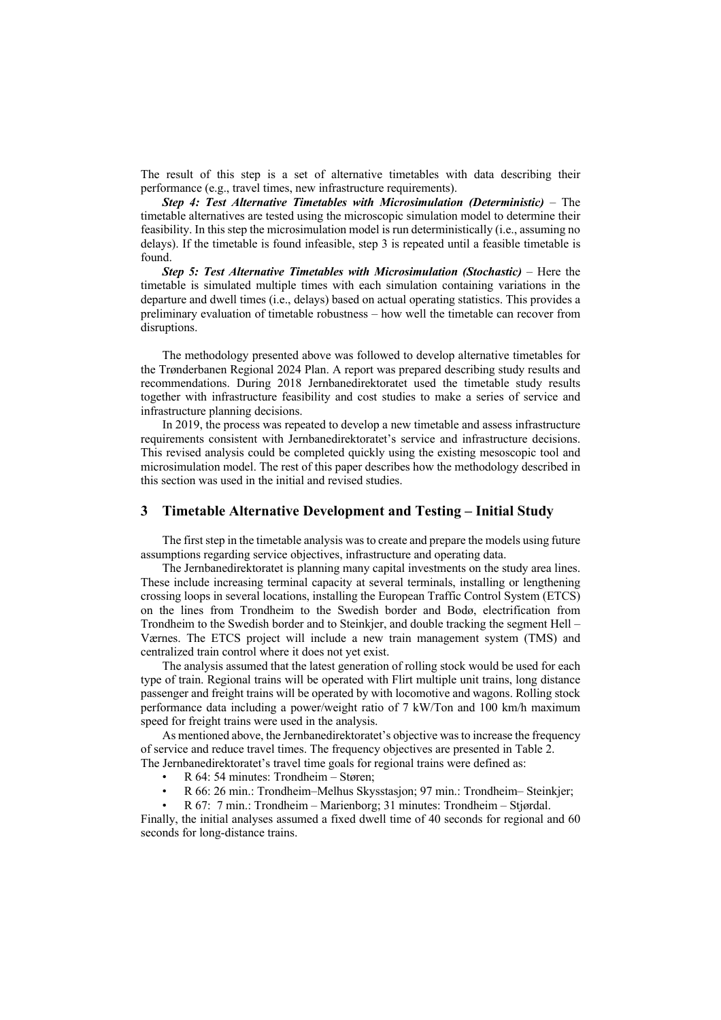The result of this step is a set of alternative timetables with data describing their performance (e.g., travel times, new infrastructure requirements).

*Step 4: Test Alternative Timetables with Microsimulation (Deterministic)* – The timetable alternatives are tested using the microscopic simulation model to determine their feasibility. In this step the microsimulation model is run deterministically (i.e., assuming no delays). If the timetable is found infeasible, step 3 is repeated until a feasible timetable is found.

*Step 5: Test Alternative Timetables with Microsimulation (Stochastic)* – Here the timetable is simulated multiple times with each simulation containing variations in the departure and dwell times (i.e., delays) based on actual operating statistics. This provides a preliminary evaluation of timetable robustness – how well the timetable can recover from disruptions.

The methodology presented above was followed to develop alternative timetables for the Trønderbanen Regional 2024 Plan. A report was prepared describing study results and recommendations. During 2018 Jernbanedirektoratet used the timetable study results together with infrastructure feasibility and cost studies to make a series of service and infrastructure planning decisions.

In 2019, the process was repeated to develop a new timetable and assess infrastructure requirements consistent with Jernbanedirektoratet's service and infrastructure decisions. This revised analysis could be completed quickly using the existing mesoscopic tool and microsimulation model. The rest of this paper describes how the methodology described in this section was used in the initial and revised studies.

# **3 Timetable Alternative Development and Testing – Initial Study**

The first step in the timetable analysis was to create and prepare the models using future assumptions regarding service objectives, infrastructure and operating data.

The Jernbanedirektoratet is planning many capital investments on the study area lines. These include increasing terminal capacity at several terminals, installing or lengthening crossing loops in several locations, installing the European Traffic Control System (ETCS) on the lines from Trondheim to the Swedish border and Bodø, electrification from Trondheim to the Swedish border and to Steinkjer, and double tracking the segment Hell – Værnes. The ETCS project will include a new train management system (TMS) and centralized train control where it does not yet exist.

The analysis assumed that the latest generation of rolling stock would be used for each type of train. Regional trains will be operated with Flirt multiple unit trains, long distance passenger and freight trains will be operated by with locomotive and wagons. Rolling stock performance data including a power/weight ratio of 7 kW/Ton and 100 km/h maximum speed for freight trains were used in the analysis.

As mentioned above, the Jernbanedirektoratet's objective was to increase the frequency of service and reduce travel times. The frequency objectives are presented in Table 2. The Jernbanedirektoratet's travel time goals for regional trains were defined as:

- R 64: 54 minutes: Trondheim Støren;
- 
- R 66: 26 min.: Trondheim–Melhus Skysstasjon; 97 min.: Trondheim– Steinkjer;

• R 67: 7 min.: Trondheim – Marienborg; 31 minutes: Trondheim – Stjørdal. Finally, the initial analyses assumed a fixed dwell time of 40 seconds for regional and 60 seconds for long-distance trains.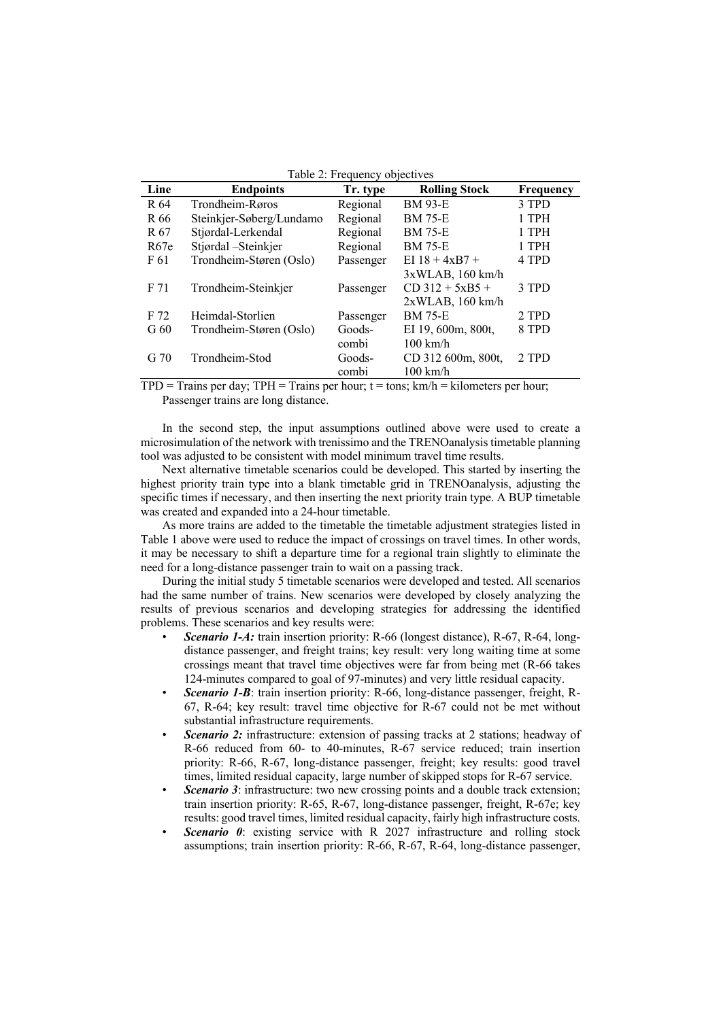| Line            | <b>Endpoints</b>         | Tr. type  | <b>Rolling Stock</b> | Frequency |
|-----------------|--------------------------|-----------|----------------------|-----------|
| R 64            | Trondheim-Røros          | Regional  | <b>BM 93-E</b>       | 3 TPD     |
| R 66            | Steinkjer-Søberg/Lundamo | Regional  | <b>BM 75-E</b>       | 1 TPH     |
| R 67            | Stjørdal-Lerkendal       | Regional  | <b>BM 75-E</b>       | 1 TPH     |
| R67e            | Stjørdal - Steinkjer     | Regional  | <b>BM 75-E</b>       | 1 TPH     |
| F 61            | Trondheim-Støren (Oslo)  | Passenger | EI $18 + 4xB7 +$     | 4 TPD     |
|                 |                          |           | 3xWLAB, 160 km/h     |           |
| F 71            | Trondheim-Steinkjer      | Passenger | $CD$ 312 + 5xB5 +    | 3 TPD     |
|                 |                          |           | 2xWLAB, 160 km/h     |           |
| F 72            | Heimdal-Storlien         | Passenger | <b>BM 75-E</b>       | 2 TPD     |
| G <sub>60</sub> | Trondheim-Støren (Oslo)  | Goods-    | EI 19, 600m, 800t,   | 8 TPD     |
|                 |                          | combi     | $100 \text{ km/h}$   |           |
| G <sub>70</sub> | Trondheim-Stod           | Goods-    | CD 312 600m, 800t.   | 2 TPD     |
|                 |                          | combi     | $100 \text{ km/h}$   |           |
|                 |                          |           |                      |           |

Table 2: Frequency objectives

 $TPD = \text{Trains per day}; TPH = \text{Trains per hour}; t = \text{tons}; km/h = \text{kilometers per hour};$ Passenger trains are long distance.

In the second step, the input assumptions outlined above were used to create a microsimulation of the network with trenissimo and the TRENOanalysis timetable planning tool was adjusted to be consistent with model minimum travel time results.

Next alternative timetable scenarios could be developed. This started by inserting the highest priority train type into a blank timetable grid in TRENOanalysis, adjusting the specific times if necessary, and then inserting the next priority train type. A BUP timetable was created and expanded into a 24-hour timetable.

As more trains are added to the timetable the timetable adjustment strategies listed in Table 1 above were used to reduce the impact of crossings on travel times. In other words, it may be necessary to shift a departure time for a regional train slightly to eliminate the need for a long-distance passenger train to wait on a passing track.

During the initial study 5 timetable scenarios were developed and tested. All scenarios had the same number of trains. New scenarios were developed by closely analyzing the results of previous scenarios and developing strategies for addressing the identified problems. These scenarios and key results were:

- *Scenario 1-A:* train insertion priority: R-66 (longest distance), R-67, R-64, longdistance passenger, and freight trains; key result: very long waiting time at some crossings meant that travel time objectives were far from being met (R-66 takes 124-minutes compared to goal of 97-minutes) and very little residual capacity.
- **Scenario 1-B**: train insertion priority: R-66, long-distance passenger, freight, R-67, R-64; key result: travel time objective for R-67 could not be met without substantial infrastructure requirements.
- **Scenario 2:** infrastructure: extension of passing tracks at 2 stations; headway of R-66 reduced from 60- to 40-minutes, R-67 service reduced; train insertion priority: R-66, R-67, long-distance passenger, freight; key results: good travel times, limited residual capacity, large number of skipped stops for R-67 service.
- **Scenario 3**: infrastructure: two new crossing points and a double track extension; train insertion priority: R-65, R-67, long-distance passenger, freight, R-67e; key results: good travel times, limited residual capacity, fairly high infrastructure costs.
- **Scenario 0:** existing service with R 2027 infrastructure and rolling stock assumptions; train insertion priority: R-66, R-67, R-64, long-distance passenger,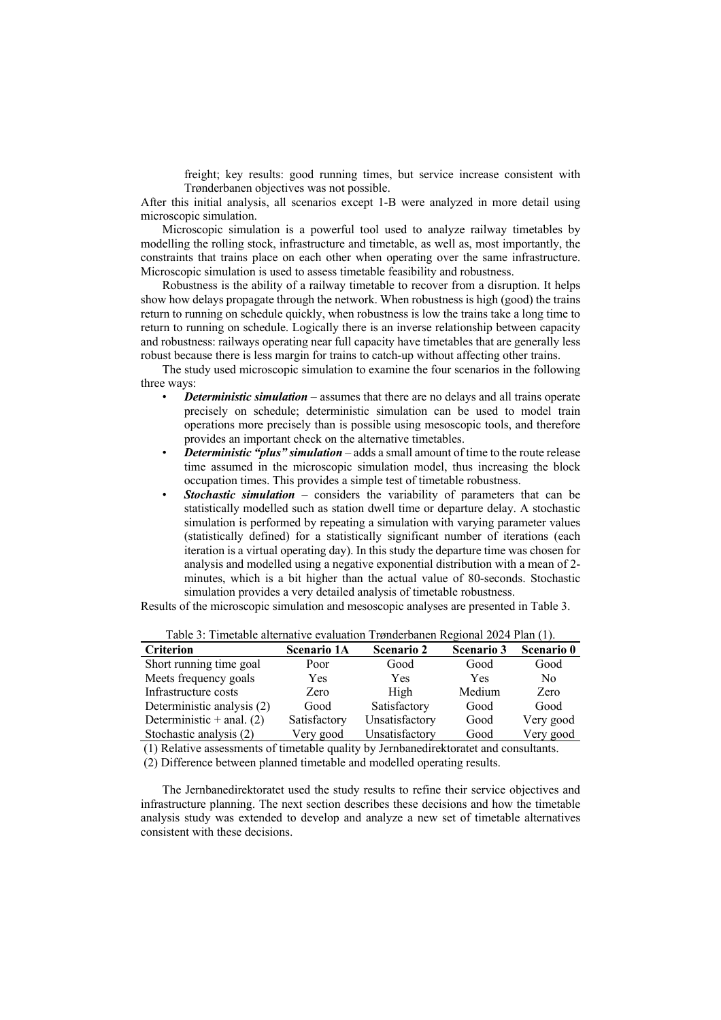freight; key results: good running times, but service increase consistent with Trønderbanen objectives was not possible.

After this initial analysis, all scenarios except 1-B were analyzed in more detail using microscopic simulation.

Microscopic simulation is a powerful tool used to analyze railway timetables by modelling the rolling stock, infrastructure and timetable, as well as, most importantly, the constraints that trains place on each other when operating over the same infrastructure. Microscopic simulation is used to assess timetable feasibility and robustness.

Robustness is the ability of a railway timetable to recover from a disruption. It helps show how delays propagate through the network. When robustness is high (good) the trains return to running on schedule quickly, when robustness is low the trains take a long time to return to running on schedule. Logically there is an inverse relationship between capacity and robustness: railways operating near full capacity have timetables that are generally less robust because there is less margin for trains to catch-up without affecting other trains.

The study used microscopic simulation to examine the four scenarios in the following three ways:

- *Deterministic simulation* assumes that there are no delays and all trains operate precisely on schedule; deterministic simulation can be used to model train operations more precisely than is possible using mesoscopic tools, and therefore provides an important check on the alternative timetables.
- *Deterministic "plus" simulation* adds a small amount of time to the route release time assumed in the microscopic simulation model, thus increasing the block occupation times. This provides a simple test of timetable robustness.
- *Stochastic simulation* considers the variability of parameters that can be statistically modelled such as station dwell time or departure delay. A stochastic simulation is performed by repeating a simulation with varying parameter values (statistically defined) for a statistically significant number of iterations (each iteration is a virtual operating day). In this study the departure time was chosen for analysis and modelled using a negative exponential distribution with a mean of 2 minutes, which is a bit higher than the actual value of 80-seconds. Stochastic simulation provides a very detailed analysis of timetable robustness.

Results of the microscopic simulation and mesoscopic analyses are presented in Table 3.

| <b>Criterion</b>            | <b>Scenario 1A</b> | <b>Scenario 2</b> | <b>Scenario 3</b> | Scenario 0     |  |  |
|-----------------------------|--------------------|-------------------|-------------------|----------------|--|--|
| Short running time goal     | Poor               | Good              | Good              | Good           |  |  |
| Meets frequency goals       | Yes                | Yes               | Yes               | N <sub>0</sub> |  |  |
| Infrastructure costs        | Zero               | High              | Medium            | Zero           |  |  |
| Deterministic analysis (2)  | Good               | Satisfactory      | Good              | Good           |  |  |
| Deterministic $+$ anal. (2) | Satisfactory       | Unsatisfactory    | Good              | Very good      |  |  |
| Stochastic analysis (2)     | Very good          | Unsatisfactory    | Good              | Very good      |  |  |

Table 3: Timetable alternative evaluation Trønderbanen Regional 2024 Plan (1).

(1) Relative assessments of timetable quality by Jernbanedirektoratet and consultants.

(2) Difference between planned timetable and modelled operating results.

The Jernbanedirektoratet used the study results to refine their service objectives and infrastructure planning. The next section describes these decisions and how the timetable analysis study was extended to develop and analyze a new set of timetable alternatives consistent with these decisions.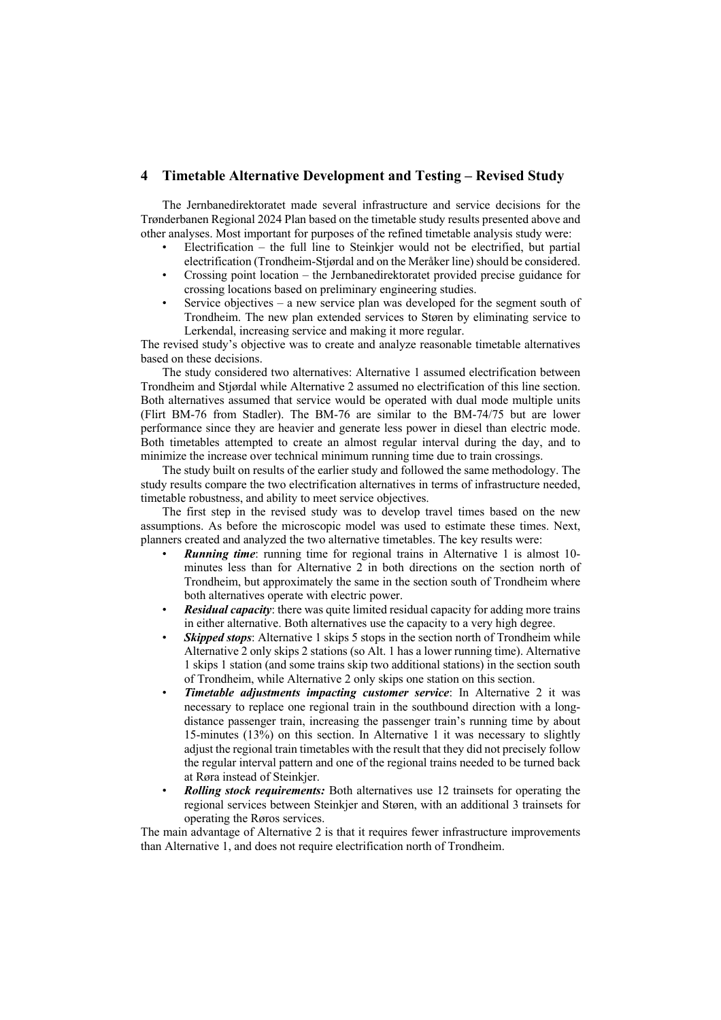## **4 Timetable Alternative Development and Testing – Revised Study**

The Jernbanedirektoratet made several infrastructure and service decisions for the Trønderbanen Regional 2024 Plan based on the timetable study results presented above and other analyses. Most important for purposes of the refined timetable analysis study were:

- Electrification the full line to Steinkjer would not be electrified, but partial electrification (Trondheim-Stjørdal and on the Meråker line) should be considered.
- Crossing point location the Jernbanedirektoratet provided precise guidance for crossing locations based on preliminary engineering studies.
- Service objectives a new service plan was developed for the segment south of Trondheim. The new plan extended services to Støren by eliminating service to Lerkendal, increasing service and making it more regular.

The revised study's objective was to create and analyze reasonable timetable alternatives based on these decisions.

The study considered two alternatives: Alternative 1 assumed electrification between Trondheim and Stjørdal while Alternative 2 assumed no electrification of this line section. Both alternatives assumed that service would be operated with dual mode multiple units (Flirt BM-76 from Stadler). The BM-76 are similar to the BM-74/75 but are lower performance since they are heavier and generate less power in diesel than electric mode. Both timetables attempted to create an almost regular interval during the day, and to minimize the increase over technical minimum running time due to train crossings.

The study built on results of the earlier study and followed the same methodology. The study results compare the two electrification alternatives in terms of infrastructure needed, timetable robustness, and ability to meet service objectives.

The first step in the revised study was to develop travel times based on the new assumptions. As before the microscopic model was used to estimate these times. Next, planners created and analyzed the two alternative timetables. The key results were:

- **Running time**: running time for regional trains in Alternative 1 is almost 10minutes less than for Alternative 2 in both directions on the section north of Trondheim, but approximately the same in the section south of Trondheim where both alternatives operate with electric power.
- *Residual capacity*: there was quite limited residual capacity for adding more trains in either alternative. Both alternatives use the capacity to a very high degree.
- **Skipped stops**: Alternative 1 skips 5 stops in the section north of Trondheim while Alternative 2 only skips 2 stations (so Alt. 1 has a lower running time). Alternative 1 skips 1 station (and some trains skip two additional stations) in the section south of Trondheim, while Alternative 2 only skips one station on this section.
- *Timetable adjustments impacting customer service*: In Alternative 2 it was necessary to replace one regional train in the southbound direction with a longdistance passenger train, increasing the passenger train's running time by about 15-minutes (13%) on this section. In Alternative 1 it was necessary to slightly adjust the regional train timetables with the result that they did not precisely follow the regular interval pattern and one of the regional trains needed to be turned back at Røra instead of Steinkjer.
- *Rolling stock requirements:* Both alternatives use 12 trainsets for operating the regional services between Steinkjer and Støren, with an additional 3 trainsets for operating the Røros services.

The main advantage of Alternative 2 is that it requires fewer infrastructure improvements than Alternative 1, and does not require electrification north of Trondheim.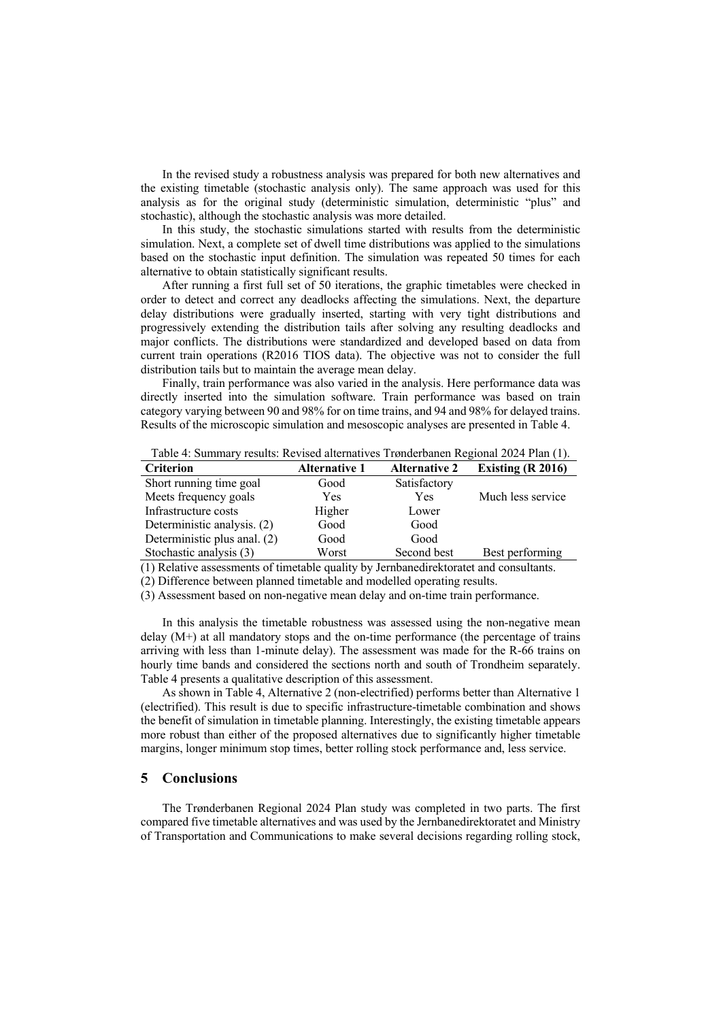In the revised study a robustness analysis was prepared for both new alternatives and the existing timetable (stochastic analysis only). The same approach was used for this analysis as for the original study (deterministic simulation, deterministic "plus" and stochastic), although the stochastic analysis was more detailed.

In this study, the stochastic simulations started with results from the deterministic simulation. Next, a complete set of dwell time distributions was applied to the simulations based on the stochastic input definition. The simulation was repeated 50 times for each alternative to obtain statistically significant results.

After running a first full set of 50 iterations, the graphic timetables were checked in order to detect and correct any deadlocks affecting the simulations. Next, the departure delay distributions were gradually inserted, starting with very tight distributions and progressively extending the distribution tails after solving any resulting deadlocks and major conflicts. The distributions were standardized and developed based on data from current train operations (R2016 TIOS data). The objective was not to consider the full distribution tails but to maintain the average mean delay.

Finally, train performance was also varied in the analysis. Here performance data was directly inserted into the simulation software. Train performance was based on train category varying between 90 and 98% for on time trains, and 94 and 98% for delayed trains. Results of the microscopic simulation and mesoscopic analyses are presented in Table 4.

Table 4: Summary results: Revised alternatives Trønderbanen Regional 2024 Plan (1).

| <b>Criterion</b>             | <b>Alternative 1</b> | <b>Alternative 2</b> | Existing $(R 2016)$ |
|------------------------------|----------------------|----------------------|---------------------|
| Short running time goal      | Good                 | Satisfactory         |                     |
| Meets frequency goals        | Yes                  | <b>Yes</b>           | Much less service   |
| Infrastructure costs         | Higher               | Lower                |                     |
| Deterministic analysis. (2)  | Good                 | Good                 |                     |
| Deterministic plus anal. (2) | Good                 | Good                 |                     |
| Stochastic analysis (3)      | Worst                | Second best          | Best performing     |

(1) Relative assessments of timetable quality by Jernbanedirektoratet and consultants.

(2) Difference between planned timetable and modelled operating results.

(3) Assessment based on non-negative mean delay and on-time train performance.

In this analysis the timetable robustness was assessed using the non-negative mean delay (M+) at all mandatory stops and the on-time performance (the percentage of trains arriving with less than 1-minute delay). The assessment was made for the R-66 trains on hourly time bands and considered the sections north and south of Trondheim separately. Table 4 presents a qualitative description of this assessment.

As shown in Table 4, Alternative 2 (non-electrified) performs better than Alternative 1 (electrified). This result is due to specific infrastructure-timetable combination and shows the benefit of simulation in timetable planning. Interestingly, the existing timetable appears more robust than either of the proposed alternatives due to significantly higher timetable margins, longer minimum stop times, better rolling stock performance and, less service.

#### **5 Conclusions**

The Trønderbanen Regional 2024 Plan study was completed in two parts. The first compared five timetable alternatives and was used by the Jernbanedirektoratet and Ministry of Transportation and Communications to make several decisions regarding rolling stock,